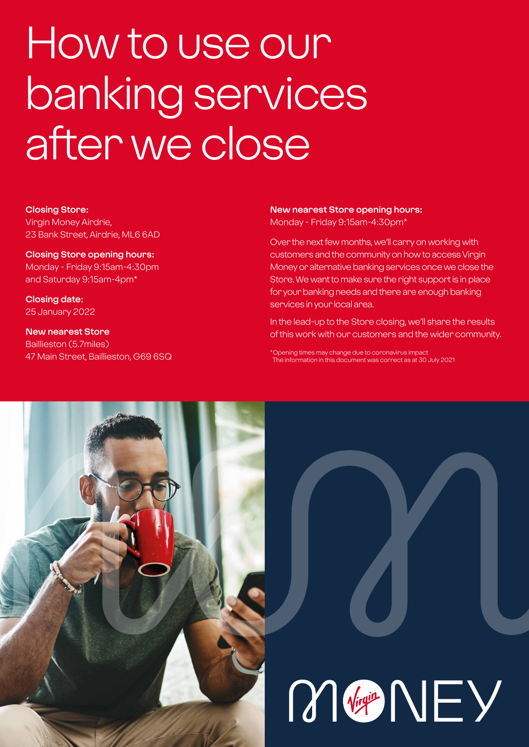# How to use our banking services after we close

#### **Closing Store:**

Virgin Money Airdrie, 23 Bank Street, Airdrie, ML6 6AD

**Closing Store opening hours:**  Monday - Friday 9:15am-4:30pm and Saturday 9:15am-4pm\*

**Closing date:**  25 January 2022

**New nearest Store** Baillieston (5.7miles) 47 Main Street, Baillieston, G69 6SQ

## **New nearest Store opening hours:**

Monday - Friday 9:15am-4:30pm\*

Over the next few months, we'll carry on working with customers and the community on how to access Virgin Money or alternative banking services once we close the Store. We want to make sure the right support is in place for your banking needs and there are enough banking services in your local area.

In the lead-up to the Store closing, we'll share the results of this work with our customers and the wider community.

\*Opening times may change due to coronavirus impact The information in this document was correct as at 30 July 2021

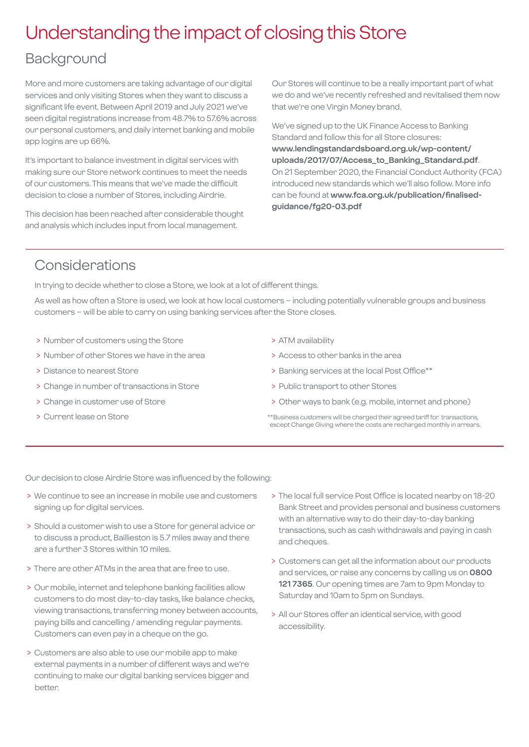## Understanding the impact of closing this Store

### Background

More and more customers are taking advantage of our digital services and only visiting Stores when they want to discuss a significant life event. Between April 2019 and July 2021 we've seen digital registrations increase from 48.7% to 57.6% across our personal customers, and daily internet banking and mobile app logins are up 66%.

It's important to balance investment in digital services with making sure our Store network continues to meet the needs of our customers. This means that we've made the difficult decision to close a number of Stores, including Airdrie.

This decision has been reached after considerable thought and analysis which includes input from local management.

Our Stores will continue to be a really important part of what we do and we've recently refreshed and revitalised them now that we're one Virgin Money brand.

We've signed up to the UK Finance Access to Banking Standard and follow this for all Store closures: **[www.lendingstandardsboard.org.uk/wp-content/](http://www.lendingstandardsboard.org.uk/wp-content/uploads/2017/07/Access_to_Banking_Standard.pdf) [uploads/2017/07/Access\\_to\\_Banking\\_Standard.pdf](http://www.lendingstandardsboard.org.uk/wp-content/uploads/2017/07/Access_to_Banking_Standard.pdf)**. On 21 September 2020, the Financial Conduct Authority (FCA) introduced new standards which we'll also follow. More info can be found at **[www.fca.org.uk/publication/finalised](http://www.fca.org.uk/publication/finalised-guidance/fg20-03.pdf)[guidance/fg20-03.pdf](http://www.fca.org.uk/publication/finalised-guidance/fg20-03.pdf)**

### Considerations

In trying to decide whether to close a Store, we look at a lot of different things.

As well as how often a Store is used, we look at how local customers – including potentially vulnerable groups and business customers – will be able to carry on using banking services after the Store closes.

- > Number of customers using the Store
- > Number of other Stores we have in the area
- > Distance to nearest Store
- > Change in number of transactions in Store
- > Change in customer use of Store
- > Current lease on Store
- > ATM availability
- > Access to other banks in the area
- > Banking services at the local Post Office\*\*
- > Public transport to other Stores
- > Other ways to bank (e.g. mobile, internet and phone)
- \*\*Business customers will be charged their agreed tariff for transactions, except Change Giving where the costs are recharged monthly in arrears.

Our decision to close Airdrie Store was influenced by the following:

- > We continue to see an increase in mobile use and customers signing up for digital services.
- > Should a customer wish to use a Store for general advice or to discuss a product, Baillieston is 5.7 miles away and there are a further 3 Stores within 10 miles.
- > There are other ATMs in the area that are free to use.
- > Our mobile, internet and telephone banking facilities allow customers to do most day-to-day tasks, like balance checks, viewing transactions, transferring money between accounts, paying bills and cancelling / amending regular payments. Customers can even pay in a cheque on the go.
- > Customers are also able to use our mobile app to make external payments in a number of different ways and we're continuing to make our digital banking services bigger and better.
- > The local full service Post Office is located nearby on 18-20 Bank Street and provides personal and business customers with an alternative way to do their day-to-day banking transactions, such as cash withdrawals and paying in cash and cheques.
- > Customers can get all the information about our products and services, or raise any concerns by calling us on **0800 121 7365**. Our opening times are 7am to 9pm Monday to Saturday and 10am to 5pm on Sundays.
- > All our Stores offer an identical service, with good accessibility.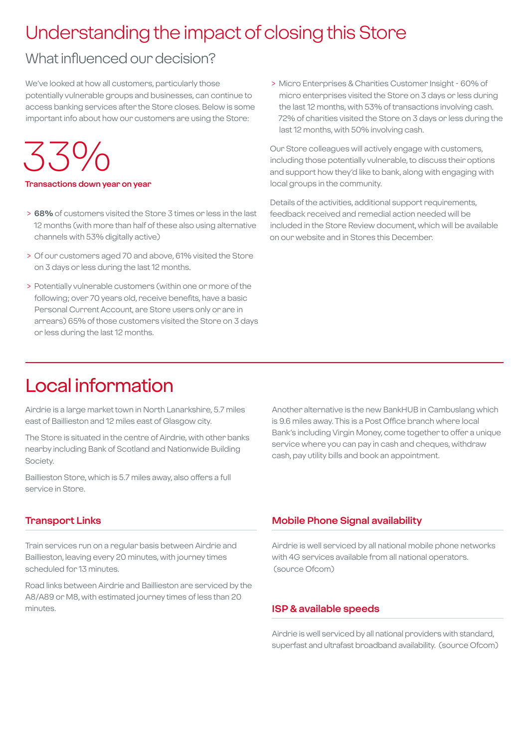## Understanding the impact of closing this Store

## What influenced our decision?

We've looked at how all customers, particularly those potentially vulnerable groups and businesses, can continue to access banking services after the Store closes. Below is some important info about how our customers are using the Store:

## 33%

#### **Transactions down year on year**

- > **68%** of customers visited the Store 3 times or less in the last 12 months (with more than half of these also using alternative channels with 53% digitally active)
- > Of our customers aged 70 and above, 61% visited the Store on 3 days or less during the last 12 months.
- > Potentially vulnerable customers (within one or more of the following; over 70 years old, receive benefits, have a basic Personal Current Account, are Store users only or are in arrears) 65% of those customers visited the Store on 3 days or less during the last 12 months.

 > Micro Enterprises & Charities Customer Insight - 60% of micro enterprises visited the Store on 3 days or less during the last 12 months, with 53% of transactions involving cash. 72% of charities visited the Store on 3 days or less during the last 12 months, with 50% involving cash.

Our Store colleagues will actively engage with customers, including those potentially vulnerable, to discuss their options and support how they'd like to bank, along with engaging with local groups in the community.

Details of the activities, additional support requirements, feedback received and remedial action needed will be included in the Store Review document, which will be available on our website and in Stores this December.

## Local information

Airdrie is a large market town in North Lanarkshire, 5.7 miles east of Baillieston and 12 miles east of Glasgow city.

The Store is situated in the centre of Airdrie, with other banks nearby including Bank of Scotland and Nationwide Building Society.

Baillieston Store, which is 5.7 miles away, also offers a full service in Store.

#### **Transport Links**

Train services run on a regular basis between Airdrie and Baillieston, leaving every 20 minutes, with journey times scheduled for 13 minutes.

Road links between Airdrie and Baillieston are serviced by the A8/A89 or M8, with estimated journey times of less than 20 minutes.

Another alternative is the new BankHUB in Cambuslang which is 9.6 miles away. This is a Post Office branch where local Bank's including Virgin Money, come together to offer a unique service where you can pay in cash and cheques, withdraw cash, pay utility bills and book an appointment.

#### **Mobile Phone Signal availability**

Airdrie is well serviced by all national mobile phone networks with 4G services available from all national operators. (source Ofcom)

#### **ISP & available speeds**

Airdrie is well serviced by all national providers with standard, superfast and ultrafast broadband availability. (source Ofcom)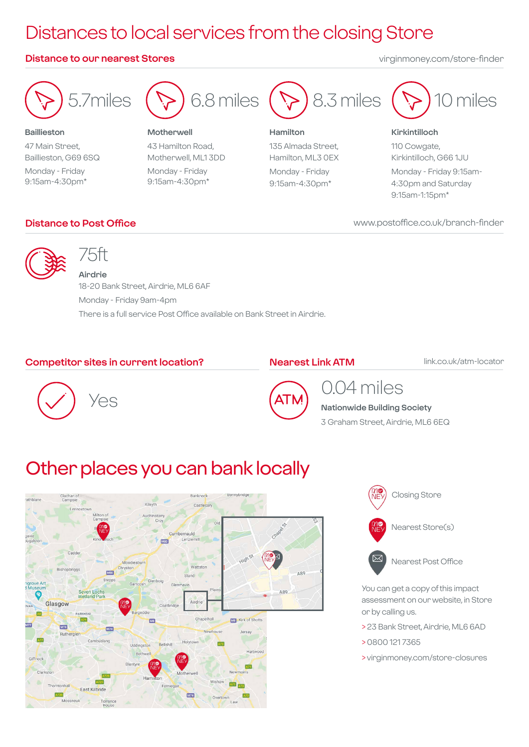## Distances to local services from the closing Store

#### **Distance to our nearest Stores** virginmoney.com/store-finder



**Baillieston** 47 Main Street, Baillieston, G69 6SQ Monday - Friday 9:15am-4:30pm\*



**Motherwell** 43 Hamilton Road, Motherwell, ML1 3DD Monday - Friday 9:15am-4:30pm\*

## 8.3 miles

**Hamilton** 135 Almada Street, Hamilton, ML3 0EX Monday - Friday 9:15am-4:30pm\*



#### **Kirkintilloch**

110 Cowgate, Kirkintilloch, G66 1JU Monday - Friday 9:15am-4:30pm and Saturday 9:15am-1:15pm\*

www.postoffice.co.uk/branch-finder

#### **Distance to Post Office**



## 75ft

**Airdrie** 18-20 Bank Street, Airdrie, ML6 6AF Monday - Friday 9am-4pm There is a full service Post Office available on Bank Street in Airdrie.

#### **Competitor sites in current location?**

#### **Nearest Link ATM**

link.co.uk/atm-locator





## 0.04 miles

**Nationwide Building Society** 3 Graham Street, Airdrie, ML6 6EQ

## Other places you can bank locally





Nearest Post Office

You can get a copy of this impact assessment on our website, in Store or by calling us.

- > 23 Bank Street, Airdrie, ML6 6AD
- > 0800 121 7365
- > virginmoney.com/store-closures